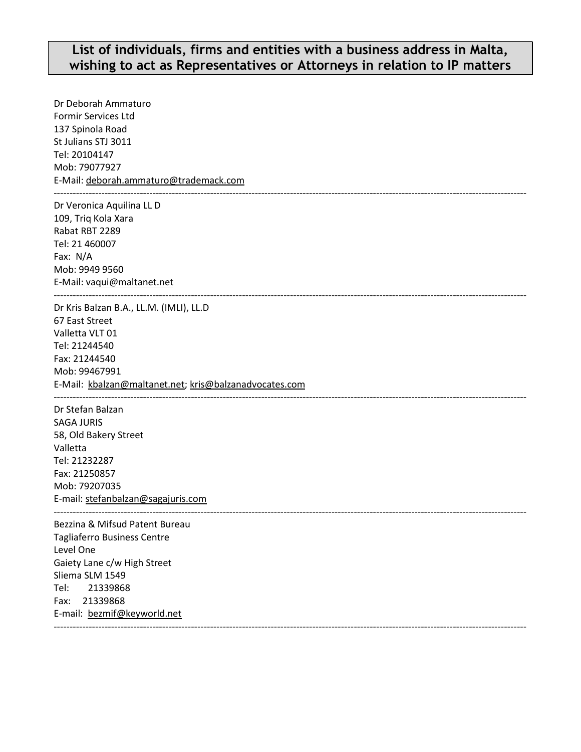## **List of individuals, firms and entities with a business address in Malta, wishing to act as Representatives or Attorneys in relation to IP matters**

Dr Deborah Ammaturo Formir Services Ltd 137 Spinola Road St Julians STJ 3011 Tel: 20104147 Mob: 79077927 E-Mail[: deborah.ammaturo@trademack.com](mailto:deborah.ammaturo@trademack.com) ---------------------------------------------------------------------------------------------------------------------------------------------------- Dr Veronica Aquilina LL D 109, Triq Kola Xara Rabat RBT 2289 Tel: 21 460007 Fax: N/A Mob: 9949 9560 E-Mail: vaqui@maltanet.net ---------------------------------------------------------------------------------------------------------------------------------------------------- Dr Kris Balzan B.A., LL.M. (IMLI), LL.D 67 East Street Valletta VLT 01 Tel: 21244540 Fax: 21244540 Mob: 99467991 E-Mail: [kbalzan@maltanet.net;](mailto:kbalzan@maltanet.net) [kris@balzanadvocates.com](mailto:kris@balzanadvocates.com) ---------------------------------------------------------------------------------------------------------------------------------------------------- Dr Stefan Balzan SAGA JURIS 58, Old Bakery Street Valletta Tel: 21232287 Fax: 21250857 Mob: 79207035 E-mail: [stefanbalzan@sagajuris.com](mailto:stefanbalzan@sagajuris.com) ---------------------------------------------------------------------------------------------------------------------------------------------------- Bezzina & Mifsud Patent Bureau Tagliaferro Business Centre Level One Gaiety Lane c/w High Street Sliema SLM 1549 Tel: 21339868 Fax: 21339868 E-mail: [bezmif@keyworld.net](mailto:bezmif@keyworld.net) ----------------------------------------------------------------------------------------------------------------------------------------------------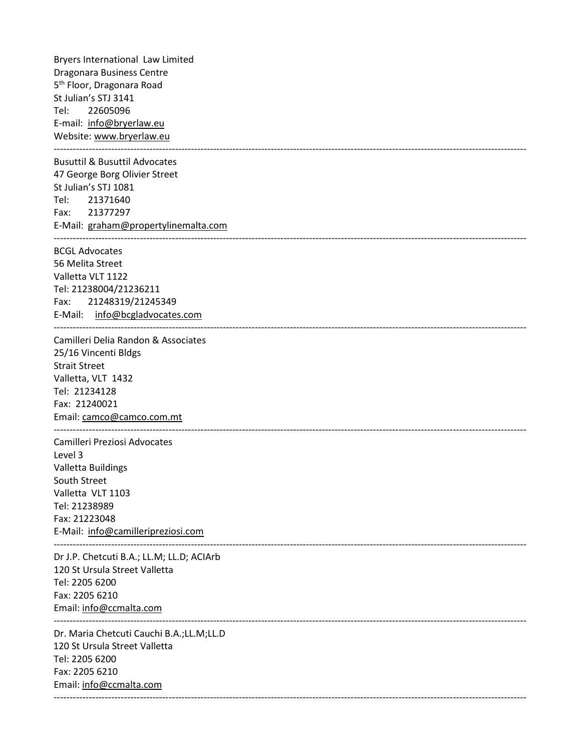Bryers International Law Limited Dragonara Business Centre 5<sup>th</sup> Floor, Dragonara Road St Julian's STJ 3141 Tel: 22605096 E-mail: [info@bryerlaw.eu](mailto:info@bryerlaw.eu) Website: [www.bryerlaw.eu](http://www.bryerlaw.eu/) ----------------------------------------------------------------------------------------------------------------------------------------------------

Busuttil & Busuttil Advocates 47 George Borg Olivier Street St Julian's STJ 1081 Tel: 21371640 Fax: 21377297 E-Mail: [graham@propertylinemalta.com](mailto:graham@propertylinemalta.com) ----------------------------------------------------------------------------------------------------------------------------------------------------

BCGL Advocates 56 Melita Street Valletta VLT 1122 Tel: 21238004/21236211

Fax: 21248319/21245349 E-Mail: [info@bcgladvocates.com](mailto:info@bcgladvocates.com) ---------------------------------------------------------------------------------------------------------------------------------------------------- Camilleri Delia Randon & Associates 25/16 Vincenti Bldgs Strait Street Valletta, VLT 1432 Tel: 21234128 Fax: 21240021

Email: [camco@camco.com.mt](mailto:camco@camco.com.mt) ----------------------------------------------------------------------------------------------------------------------------------------------------

Camilleri Preziosi Advocates Level 3 Valletta Buildings South Street Valletta VLT 1103 Tel: 21238989 Fax: 21223048 E-Mail: [info@camilleripreziosi.com](mailto:info@camilleripreziosi.com)

Dr J.P. Chetcuti B.A.; LL.M; LL.D; ACIArb 120 St Ursula Street Valletta Tel: 2205 6200 Fax: 2205 6210 Email: info@ccmalta.com ----------------------------------------------------------------------------------------------------------------------------------------------------

----------------------------------------------------------------------------------------------------------------------------------------------------

Dr. Maria Chetcuti Cauchi B.A.;LL.M;LL.D 120 St Ursula Street Valletta Tel: 2205 6200 Fax: 2205 6210 Email: info@ccmalta.com ----------------------------------------------------------------------------------------------------------------------------------------------------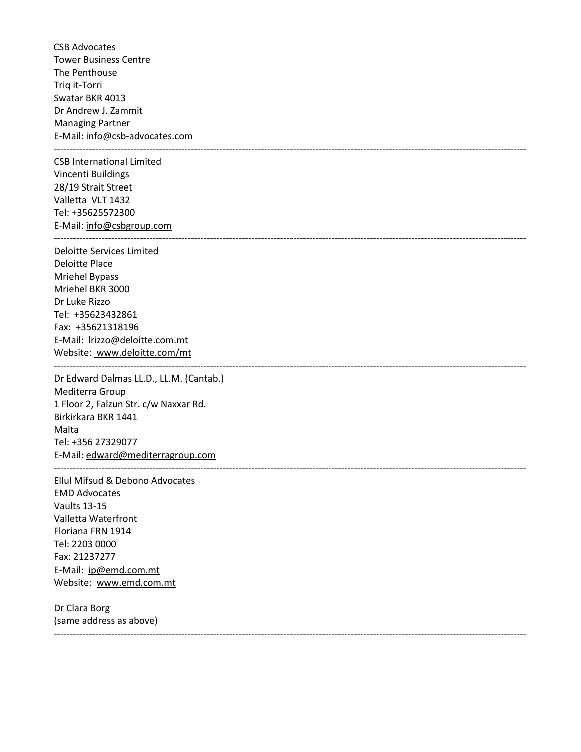CSB Advocates Tower Business Centre The Penthouse Triq it-Torri Swatar BKR 4013 Dr Andrew J. Zammit Managing Partner E-Mail[: info@csb-advocates.com](mailto:info@csb-advocates.com) ----------------------------------------------------------------------------------------------------------------------------------------------------

CSB International Limited Vincenti Buildings 28/19 Strait Street Valletta VLT 1432 Tel: +35625572300 E-Mail[: info@csbgroup.com](mailto:info@csbgroup.com) ----------------------------------------------------------------------------------------------------------------------------------------------------

Deloitte Services Limited Deloitte Place Mriehel Bypass Mriehel BKR 3000 Dr Luke Rizzo Tel: +35623432861 Fax: +35621318196 E-Mail: [lrizzo@deloitte.com.mt](mailto:lrizzo@deloitte.com.mt) Website: [www.deloitte.com/mt](http://www.deloitte.com/mt) ----------------------------------------------------------------------------------------------------------------------------------------------------

Dr Edward Dalmas LL.D., LL.M. (Cantab.) Mediterra Group 1 Floor 2, Falzun Str. c/w Naxxar Rd. Birkirkara BKR 1441 Malta Tel: +356 27329077 E-Mail[: edward@mediterragroup.com](mailto:edward@mediterragroup.com) ----------------------------------------------------------------------------------------------------------------------------------------------------

Ellul Mifsud & Debono Advocates EMD Advocates Vaults 13-15 Valletta Waterfront Floriana FRN 1914 Tel: 2203 0000 Fax: 21237277 E-Mail: ip@emd.com.mt Website: [www.emd.com.mt](http://www.emd.com.mt/)

Dr Clara Borg (same address as above) ----------------------------------------------------------------------------------------------------------------------------------------------------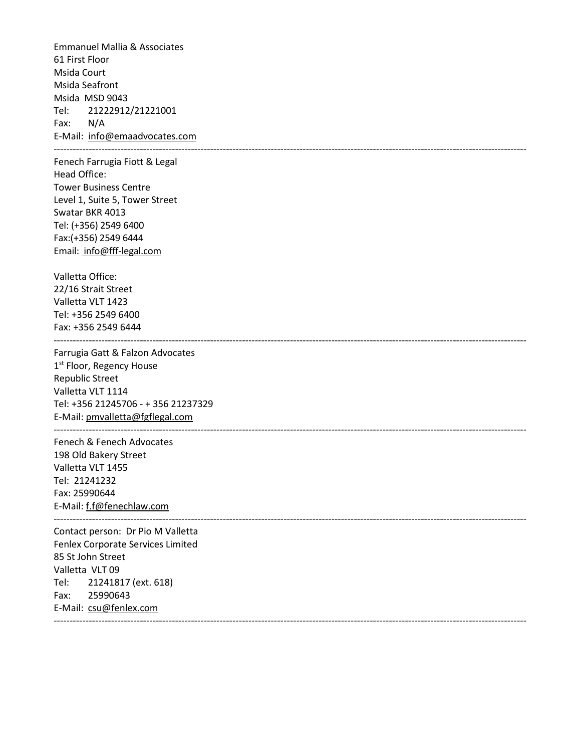Emmanuel Mallia & Associates 61 First Floor Msida Court Msida Seafront Msida MSD 9043 Tel: 21222912/21221001 Fax: N/A E-Mail: info@emaadvocates.com ---------------------------------------------------------------------------------------------------------------------------------------------------- Fenech Farrugia Fiott & Legal Head Office: Tower Business Centre Level 1, Suite 5, Tower Street Swatar BKR 4013 Tel: (+356) 2549 6400 Fax:(+356) 2549 6444 Email: [info@fff-legal.com](mailto:info@fff-legal.com) Valletta Office: 22/16 Strait Street Valletta VLT 1423 Tel: +356 2549 6400 Fax: +356 2549 6444 ---------------------------------------------------------------------------------------------------------------------------------------------------- Farrugia Gatt & Falzon Advocates 1st Floor, Regency House Republic Street Valletta VLT 1114 Tel: +356 21245706 - + 356 21237329 E-Mail[: pmvalletta@fgflegal.com](mailto:pmvalletta@fgflegal.com) ---------------------------------------------------------------------------------------------------------------------------------------------------- Fenech & Fenech Advocates 198 Old Bakery Street Valletta VLT 1455 Tel: 21241232 Fax: 25990644 E-Mail: f.f@fenechlaw.com ---------------------------------------------------------------------------------------------------------------------------------------------------- Contact person: Dr Pio M Valletta Fenlex Corporate Services Limited 85 St John Street Valletta VLT 09 Tel: 21241817 (ext. 618) Fax: 25990643 E-Mail: csu@fenlex.com ----------------------------------------------------------------------------------------------------------------------------------------------------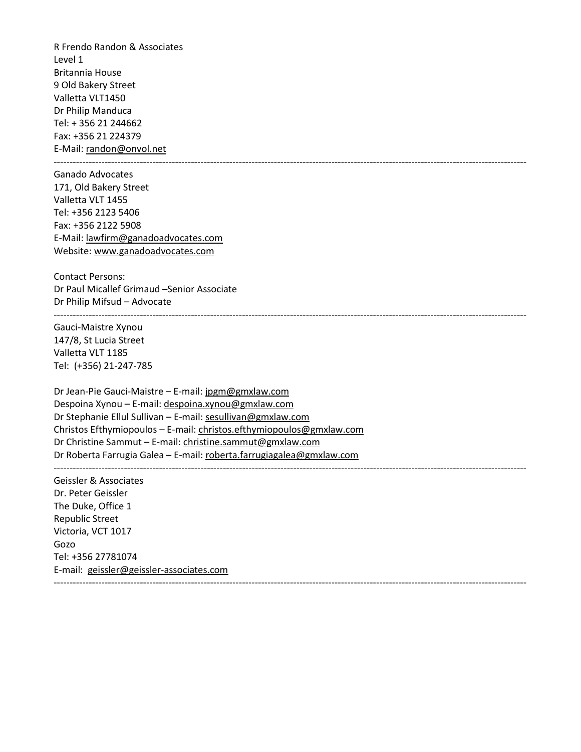R Frendo Randon & Associates Level 1 Britannia House 9 Old Bakery Street Valletta VLT1450 Dr Philip Manduca Tel: + 356 21 244662 Fax: +356 21 224379 E-Mail[: randon@onvol.net](mailto:randon@onvol.net)

Ganado Advocates 171, Old Bakery Street Valletta VLT 1455 Tel: +356 2123 5406 Fax: +356 2122 5908 E-Mail[: lawfirm@ganadoadvocates.com](mailto:lawfirm@ganadoadvocates.com) Website: [www.ganadoadvocates.com](http://www.ganadoadvocates.com/)

Contact Persons: Dr Paul Micallef Grimaud –Senior Associate Dr Philip Mifsud – Advocate

Gauci-Maistre Xynou 147/8, St Lucia Street Valletta VLT 1185 Tel: (+356) 21-247-785

Dr Jean-Pie Gauci-Maistre – E-mail: [jpgm@gmxlaw.com](mailto:jpgm@gmxlaw.com) Despoina Xynou – E-mail[: despoina.xynou@gmxlaw.com](mailto:despoina.xynou@gmxlaw.com) Dr Stephanie Ellul Sullivan – E-mail[: sesullivan@gmxlaw.com](mailto:sesullivan@gmxlaw.com) Christos Efthymiopoulos – E-mail: [christos.efthymiopoulos@gmxlaw.com](mailto:christos.efthymiopoulos@gmxlaw.com) Dr Christine Sammut – E-mail: [christine.sammut@gmxlaw.com](mailto:christine.sammut@gmxlaw.com) Dr Roberta Farrugia Galea – E-mail[: roberta.farrugiagalea@gmxlaw.com](mailto:roberta.farrugiagalea@gmxlaw.com) ----------------------------------------------------------------------------------------------------------------------------------------------------

----------------------------------------------------------------------------------------------------------------------------------------------------

----------------------------------------------------------------------------------------------------------------------------------------------------

----------------------------------------------------------------------------------------------------------------------------------------------------

Geissler & Associates Dr. Peter Geissler The Duke, Office 1 Republic Street Victoria, VCT 1017 Gozo Tel: +356 27781074 E-mail: [geissler@geissler-associates.com](mailto:geissler@geissler-associates.com)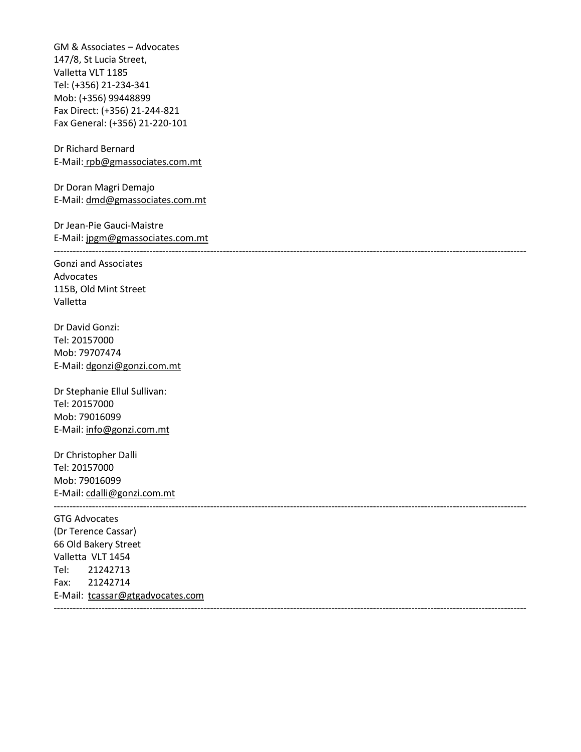GM & Associates – Advocates 147/8, St Lucia Street, Valletta VLT 1185 Tel: (+356) 21-234-341 Mob: (+356) 99448899 Fax Direct: (+356) 21-244-821 Fax General: (+356) 21-220-101

Dr Richard Bernard E-Mail: [rpb@gmassociates.com.mt](mailto:rpb@gmassociates.com.mt)

Dr Doran Magri Demajo E-Mail[: dmd@gmassociates.com.mt](mailto:dmd@gmassociates.com.mt)

Dr Jean-Pie Gauci-Maistre E-Mail: jpgm@gmassociates.com.mt

----------------------------------------------------------------------------------------------------------------------------------------------------

Gonzi and Associates Advocates 115B, Old Mint Street Valletta

Dr David Gonzi: Tel: 20157000 Mob: 79707474 E-Mail[: dgonzi@gonzi.com.mt](mailto:dgonzi@gonzi.com.mt)

Dr Stephanie Ellul Sullivan: Tel: 20157000 Mob: 79016099 E-Mail[: info@gonzi.com.mt](mailto:info@gonzi.com.mt)

Dr Christopher Dalli Tel: 20157000 Mob: 79016099 E-Mail[: cdalli@gonzi.com.mt](mailto:cdalli@gonzi.com.mt)

GTG Advocates (Dr Terence Cassar) 66 Old Bakery Street Valletta VLT 1454 Tel: 21242713 Fax: 21242714 E-Mail: [tcassar@gtgadvocates.com](mailto:tcassar@gtgadvocates.com) ----------------------------------------------------------------------------------------------------------------------------------------------------

----------------------------------------------------------------------------------------------------------------------------------------------------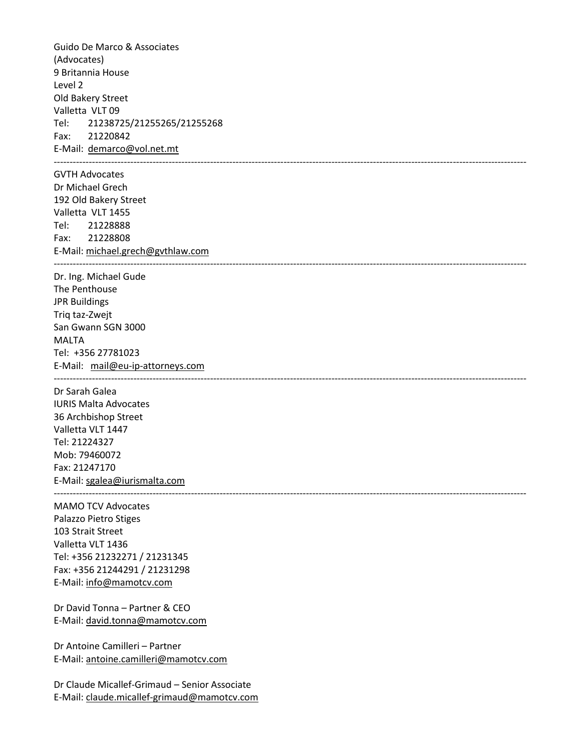Guido De Marco & Associates (Advocates) 9 Britannia House Level 2 Old Bakery Street Valletta VLT 09 Tel: 21238725/21255265/21255268 Fax: 21220842 E-Mail: [demarco@vol.net.mt](mailto:demarco@vol.net.mt) ---------------------------------------------------------------------------------------------------------------------------------------------------- GVTH Advocates Dr Michael Grech 192 Old Bakery Street Valletta VLT 1455 Tel: 21228888 Fax: 21228808 E-Mail[: michael.grech@gvthlaw.com](mailto:michael.grech@gvthlaw.com) ---------------------------------------------------------------------------------------------------------------------------------------------------- Dr. Ing. Michael Gude The Penthouse JPR Buildings Triq taz-Zwejt San Gwann SGN 3000 MALTA Tel: +356 27781023 E-Mail: [mail@eu-ip-attorneys.com](mailto:mail@eu-ip-attorneys.com) ---------------------------------------------------------------------------------------------------------------------------------------------------- Dr Sarah Galea IURIS Malta Advocates 36 Archbishop Street Valletta VLT 1447 Tel: 21224327 Mob: 79460072 Fax: 21247170 E-Mail[: sgalea@iurismalta.com](mailto:sgalea@iurismalta.com) ---------------------------------------------------------------------------------------------------------------------------------------------------- MAMO TCV Advocates Palazzo Pietro Stiges 103 Strait Street Valletta VLT 1436 Tel: +356 21232271 / 21231345 Fax: +356 21244291 / 21231298 E-Mail[: info@mamotcv.com](mailto:info@mamotcv.com) Dr David Tonna – Partner & CEO

E-Mail[: david.tonna@mamotcv.com](mailto:david.tonna@mamotcv.com) Dr Antoine Camilleri – Partner

E-Mail[: antoine.camilleri@mamotcv.com](mailto:antoine.camilleri@mamotcv.com)

Dr Claude Micallef-Grimaud – Senior Associate E-Mail[: claude.micallef-grimaud@mamotcv.com](mailto:claude.micallef-grimaud@mamotcv.com)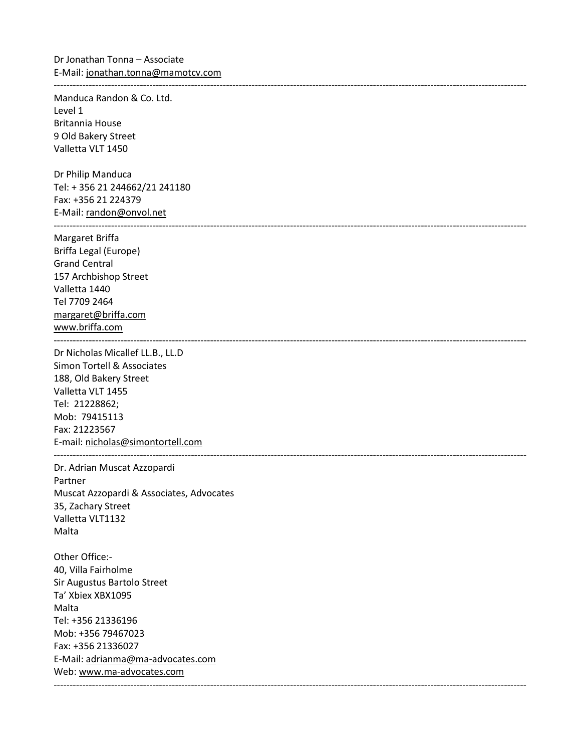----------------------------------------------------------------------------------------------------------------------------------------------------

Manduca Randon & Co. Ltd. Level 1 Britannia House 9 Old Bakery Street Valletta VLT 1450

Dr Philip Manduca Tel: + 356 21 244662/21 241180 Fax: +356 21 224379 E-Mail[: randon@onvol.net](mailto:randon@onvol.net) ----------------------------------------------------------------------------------------------------------------------------------------------------

Margaret Briffa Briffa Legal (Europe) Grand Central 157 Archbishop Street Valletta 1440 Tel 7709 2464 [margaret@briffa.com](mailto:margaret@briffa.com) [www.briffa.com](http://www.briffa.com/) ----------------------------------------------------------------------------------------------------------------------------------------------------

Dr Nicholas Micallef LL.B., LL.D Simon Tortell & Associates 188, Old Bakery Street Valletta VLT 1455 Tel: 21228862; Mob: 79415113 Fax: 21223567 E-mail: [nicholas@simontortell.com](mailto:nicholas@simontortell.com)

Dr. Adrian Muscat Azzopardi Partner Muscat Azzopardi & Associates, Advocates 35, Zachary Street Valletta VLT1132 Malta

----------------------------------------------------------------------------------------------------------------------------------------------------

Other Office:- 40, Villa Fairholme Sir Augustus Bartolo Street Ta' Xbiex XBX1095 Malta Tel: +356 21336196 Mob: +356 79467023 Fax: +356 21336027 E-Mail[: adrianma@ma-advocates.com](mailto:adrianma@ma-advocates.com) Web: [www.ma-advocates.com](http://www.ma-advocates.com/) ----------------------------------------------------------------------------------------------------------------------------------------------------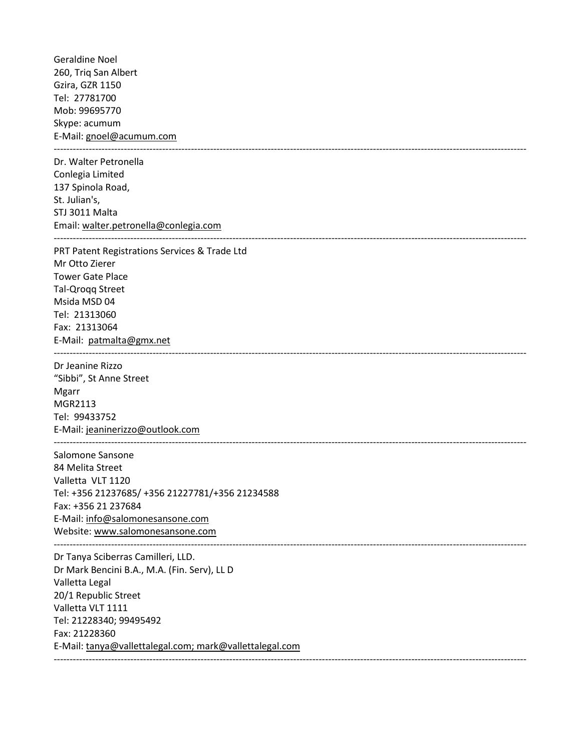Geraldine Noel 260, Triq San Albert Gzira, GZR 1150 Tel: 27781700 Mob: 99695770 Skype: acumum E-Mail[: gnoel@acumum.com](mailto:gnoel@acumum.com) ---------------------------------------------------------------------------------------------------------------------------------------------------- Dr. Walter Petronella Conlegia Limited 137 Spinola Road, St. Julian's, STJ 3011 Malta Email[: walter.petronella@conlegia.com](mailto:walter.petronella@conlegia.com) ---------------------------------------------------------------------------------------------------------------------------------------------------- PRT Patent Registrations Services & Trade Ltd Mr Otto Zierer Tower Gate Place Tal-Qroqq Street Msida MSD 04 Tel: 21313060 Fax: 21313064 E-Mail: [patmalta@gmx.net](mailto:patmalta@gmx.net) ---------------------------------------------------------------------------------------------------------------------------------------------------- Dr Jeanine Rizzo "Sibbi", St Anne Street Mgarr MGR2113 Tel: 99433752 E-Mail[: jeaninerizzo@outlook.com](mailto:jeaninerizzo@outlook.com) ---------------------------------------------------------------------------------------------------------------------------------------------------- Salomone Sansone 84 Melita Street Valletta VLT 1120 Tel: +356 21237685/ +356 21227781/+356 21234588 Fax: +356 21 237684 E-Mail[: info@salomonesansone.com](mailto:info@salomonesansone.com) Website: [www.salomonesansone.com](http://www.salomonesansone.com/) ---------------------------------------------------------------------------------------------------------------------------------------------------- Dr Tanya Sciberras Camilleri, LLD. Dr Mark Bencini B.A., M.A. (Fin. Serv), LL D Valletta Legal 20/1 Republic Street Valletta VLT 1111 Tel: 21228340; 99495492 Fax: 21228360 E-Mail[: tanya@vallettalegal.com;](mailto:tanya@vallettalegal.com) [mark@vallettalegal.com](mailto:mark@vallettalegal.com) ----------------------------------------------------------------------------------------------------------------------------------------------------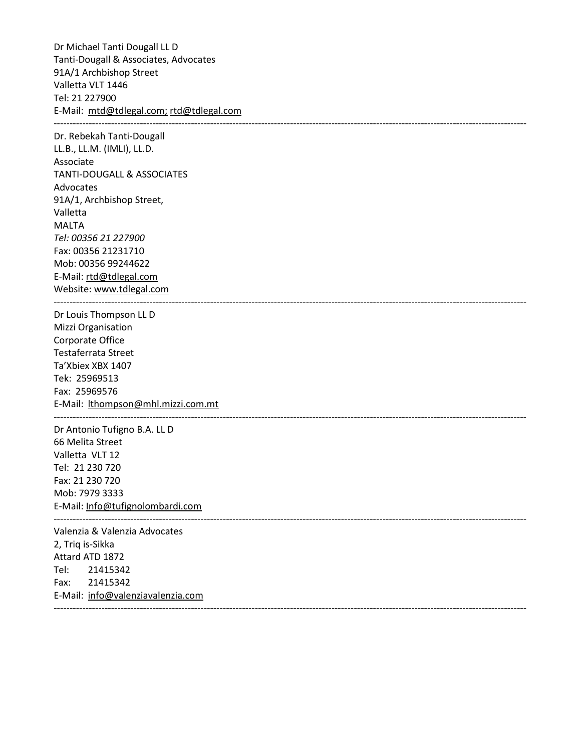Dr Michael Tanti Dougall LL D Tanti-Dougall & Associates, Advocates 91A/1 Archbishop Street Valletta VLT 1446 Tel: 21 227900 E-Mail: [mtd@tdlegal.com;](mailto:mtd@tdlegal.com) [rtd@tdlegal.com](mailto:rtd@tdlegal.com) ---------------------------------------------------------------------------------------------------------------------------------------------------- Dr. Rebekah Tanti-Dougall LL.B., LL.M. (IMLI), LL.D. Associate TANTI-DOUGALL & ASSOCIATES Advocates 91A/1, Archbishop Street, Valletta MALTA *Tel: 00356 21 227900* Fax: 00356 21231710 Mob: 00356 99244622 E-Mail[: rtd@tdlegal.com](mailto:rtd@tdlegal.com) Website: [www.tdlegal.com](http://www.tdlegal.com/) ---------------------------------------------------------------------------------------------------------------------------------------------------- Dr Louis Thompson LL D Mizzi Organisation Corporate Office Testaferrata Street Ta'Xbiex XBX 1407 Tek: 25969513 Fax: 25969576 E-Mail: [lthompson@mhl.mizzi.com.mt](mailto:lthompson@mhl.mizzi.com.mt) ---------------------------------------------------------------------------------------------------------------------------------------------------- Dr Antonio Tufigno B.A. LL D 66 Melita Street Valletta VLT 12 Tel: 21 230 720 Fax: 21 230 720 Mob: 7979 3333 E-Mail[: Info@tufignolombardi.com](mailto:Info@tufignolombardi.com) ---------------------------------------------------------------------------------------------------------------------------------------------------- Valenzia & Valenzia Advocates 2, Triq is-Sikka Attard ATD 1872 Tel: 21415342 Fax: 21415342 E-Mail: [info@valenziavalenzia.com](mailto:info@valenziavalenzia.com) ----------------------------------------------------------------------------------------------------------------------------------------------------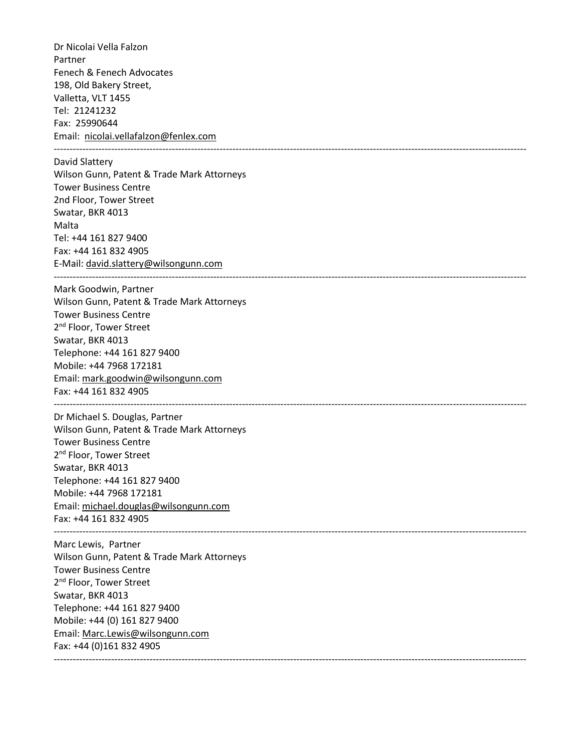Dr Nicolai Vella Falzon Partner Fenech & Fenech Advocates 198, Old Bakery Street, Valletta, VLT 1455 Tel: 21241232 Fax: 25990644 Email: [nicolai.vellafalzon@fenlex.com](mailto:Nicolai.vellafalzon@fenlex.com) ---------------------------------------------------------------------------------------------------------------------------------------------------- David Slattery Wilson Gunn, Patent & Trade Mark Attorneys Tower Business Centre 2nd Floor, Tower Street Swatar, BKR 4013 Malta Tel: +44 161 827 9400 Fax: +44 161 832 4905 E-Mail[: david.slattery@wilsongunn.com](mailto:david.slattery@wilsongunn.com) ---------------------------------------------------------------------------------------------------------------------------------------------------- Mark Goodwin, Partner Wilson Gunn, Patent & Trade Mark Attorneys Tower Business Centre 2<sup>nd</sup> Floor, Tower Street Swatar, BKR 4013 Telephone: +44 161 827 9400 Mobile: +44 7968 172181 Email[: mark.goodwin@wilsongunn.com](mailto:mark.goodwin@wilsongunn.com) Fax: +44 161 832 4905 ---------------------------------------------------------------------------------------------------------------------------------------------------- Dr Michael S. Douglas, Partner Wilson Gunn, Patent & Trade Mark Attorneys Tower Business Centre 2<sup>nd</sup> Floor, Tower Street Swatar, BKR 4013 Telephone: +44 161 827 9400 Mobile: +44 7968 172181 Email[: michael.douglas@wilsongunn.com](mailto:michael.douglas@wilsongunn.com) Fax: +44 161 832 4905 ---------------------------------------------------------------------------------------------------------------------------------------------------- Marc Lewis, Partner Wilson Gunn, Patent & Trade Mark Attorneys Tower Business Centre 2<sup>nd</sup> Floor, Tower Street Swatar, BKR 4013 Telephone: +44 161 827 9400 Mobile: +44 (0) 161 827 9400 Email[: Marc.Lewis@wilsongunn.com](mailto:Marc.Lewis@wilsongunn.com) Fax: +44 (0)161 832 4905 ----------------------------------------------------------------------------------------------------------------------------------------------------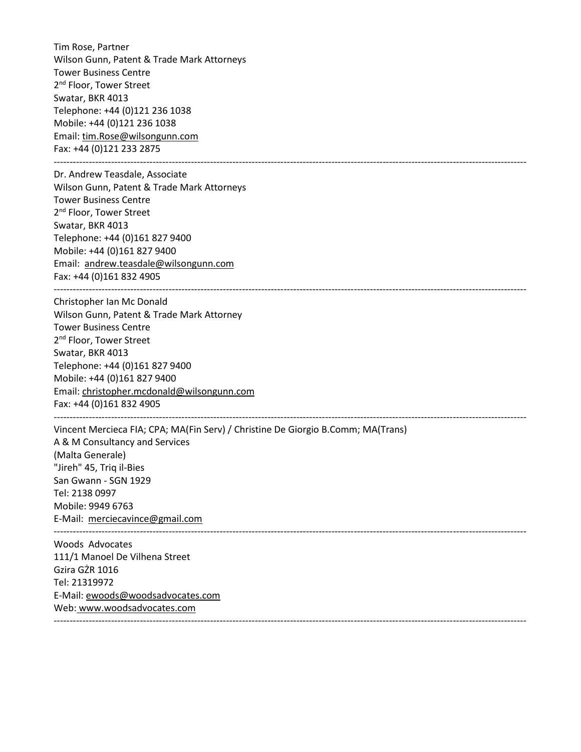Tim Rose, Partner Wilson Gunn, Patent & Trade Mark Attorneys Tower Business Centre 2<sup>nd</sup> Floor, Tower Street Swatar, BKR 4013 Telephone: +44 (0)121 236 1038 Mobile: +44 (0)121 236 1038 Email[: tim.Rose@wilsongunn.com](mailto:tim.Rose@wilsongunn.com) Fax: +44 (0)121 233 2875

----------------------------------------------------------------------------------------------------------------------------------------------------

Dr. Andrew Teasdale, Associate Wilson Gunn, Patent & Trade Mark Attorneys Tower Business Centre 2<sup>nd</sup> Floor, Tower Street Swatar, BKR 4013 Telephone: +44 (0)161 827 9400 Mobile: +44 (0)161 827 9400 Email: [andrew.teasdale@wilsongunn.com](mailto:andrew.teasdale@wilsongunn.com) Fax: +44 (0)161 832 4905

Christopher Ian Mc Donald Wilson Gunn, Patent & Trade Mark Attorney Tower Business Centre 2<sup>nd</sup> Floor, Tower Street Swatar, BKR 4013 Telephone: +44 (0)161 827 9400 Mobile: +44 (0)161 827 9400 Email[: christopher.mcdonald@wilsongunn.com](mailto:christopher.mcdonald@wilsongunn.com) Fax: +44 (0)161 832 4905 ----------------------------------------------------------------------------------------------------------------------------------------------------

Vincent Mercieca FIA; CPA; MA(Fin Serv) / Christine De Giorgio B.Comm; MA(Trans) A & M Consultancy and Services (Malta Generale) "Jireh" 45, Triq il-Bies San Gwann - SGN 1929 Tel: 2138 0997 Mobile: 9949 6763 E-Mail: [merciecavince@gmail.com](mailto:merciecavince@gmail.com) ----------------------------------------------------------------------------------------------------------------------------------------------------

----------------------------------------------------------------------------------------------------------------------------------------------------

Woods Advocates 111/1 Manoel De Vilhena Street Gzira GŻR 1016 Tel: 21319972 E-Mail[: ewoods@woodsadvocates.com](mailto:ewoods@woodsadvocates.com) Web: www.woodsadvocates.com ----------------------------------------------------------------------------------------------------------------------------------------------------